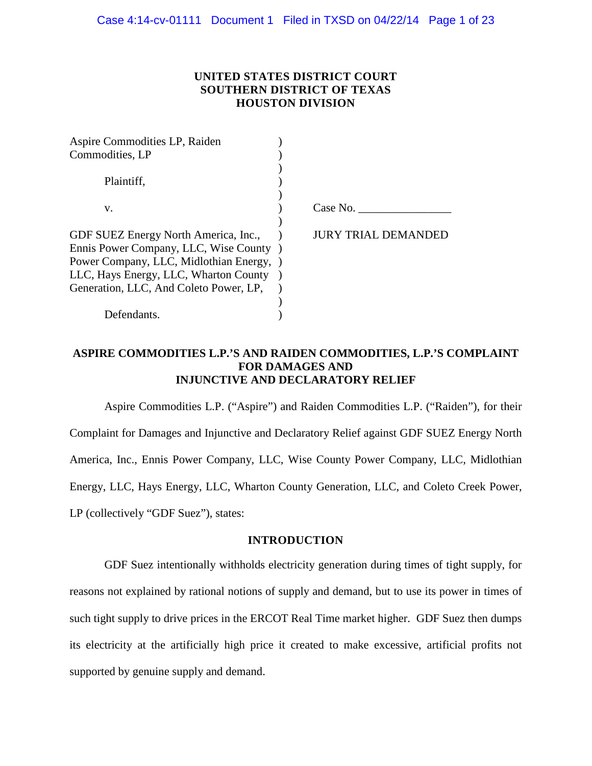## **UNITED STATES DISTRICT COURT SOUTHERN DISTRICT OF TEXAS HOUSTON DIVISION**

| Aspire Commodities LP, Raiden            |                    |
|------------------------------------------|--------------------|
| Commodities, LP                          |                    |
|                                          |                    |
| Plaintiff.                               |                    |
|                                          |                    |
| V.                                       | Case No.           |
|                                          |                    |
| GDF SUEZ Energy North America, Inc.,     | IRY TRIAL DEMANDED |
| Ennis Power Company, LLC, Wise County    |                    |
| Power Company, LLC, Midlothian Energy, ) |                    |
| LLC, Hays Energy, LLC, Wharton County    |                    |
| Generation, LLC, And Coleto Power, LP,   |                    |
|                                          |                    |
| Defendants.                              |                    |

# **ASPIRE COMMODITIES L.P.'S AND RAIDEN COMMODITIES, L.P.'S COMPLAINT FOR DAMAGES AND INJUNCTIVE AND DECLARATORY RELIEF**

Aspire Commodities L.P. ("Aspire") and Raiden Commodities L.P. ("Raiden"), for their Complaint for Damages and Injunctive and Declaratory Relief against GDF SUEZ Energy North America, Inc., Ennis Power Company, LLC, Wise County Power Company, LLC, Midlothian Energy, LLC, Hays Energy, LLC, Wharton County Generation, LLC, and Coleto Creek Power, LP (collectively "GDF Suez"), states:

## **INTRODUCTION**

GDF Suez intentionally withholds electricity generation during times of tight supply, for reasons not explained by rational notions of supply and demand, but to use its power in times of such tight supply to drive prices in the ERCOT Real Time market higher. GDF Suez then dumps its electricity at the artificially high price it created to make excessive, artificial profits not supported by genuine supply and demand.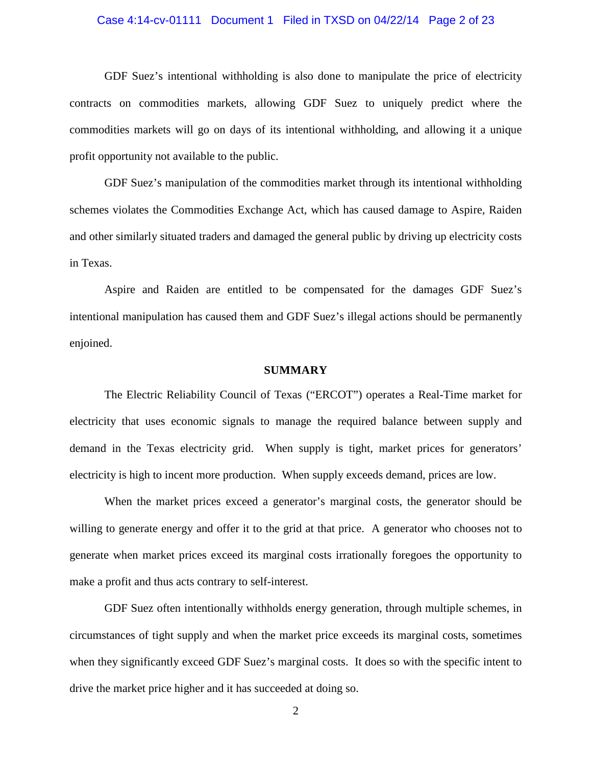### Case 4:14-cv-01111 Document 1 Filed in TXSD on 04/22/14 Page 2 of 23

GDF Suez's intentional withholding is also done to manipulate the price of electricity contracts on commodities markets, allowing GDF Suez to uniquely predict where the commodities markets will go on days of its intentional withholding, and allowing it a unique profit opportunity not available to the public.

GDF Suez's manipulation of the commodities market through its intentional withholding schemes violates the Commodities Exchange Act, which has caused damage to Aspire, Raiden and other similarly situated traders and damaged the general public by driving up electricity costs in Texas.

Aspire and Raiden are entitled to be compensated for the damages GDF Suez's intentional manipulation has caused them and GDF Suez's illegal actions should be permanently enjoined.

### **SUMMARY**

The Electric Reliability Council of Texas ("ERCOT") operates a Real-Time market for electricity that uses economic signals to manage the required balance between supply and demand in the Texas electricity grid. When supply is tight, market prices for generators' electricity is high to incent more production. When supply exceeds demand, prices are low.

When the market prices exceed a generator's marginal costs, the generator should be willing to generate energy and offer it to the grid at that price. A generator who chooses not to generate when market prices exceed its marginal costs irrationally foregoes the opportunity to make a profit and thus acts contrary to self-interest.

GDF Suez often intentionally withholds energy generation, through multiple schemes, in circumstances of tight supply and when the market price exceeds its marginal costs, sometimes when they significantly exceed GDF Suez's marginal costs. It does so with the specific intent to drive the market price higher and it has succeeded at doing so.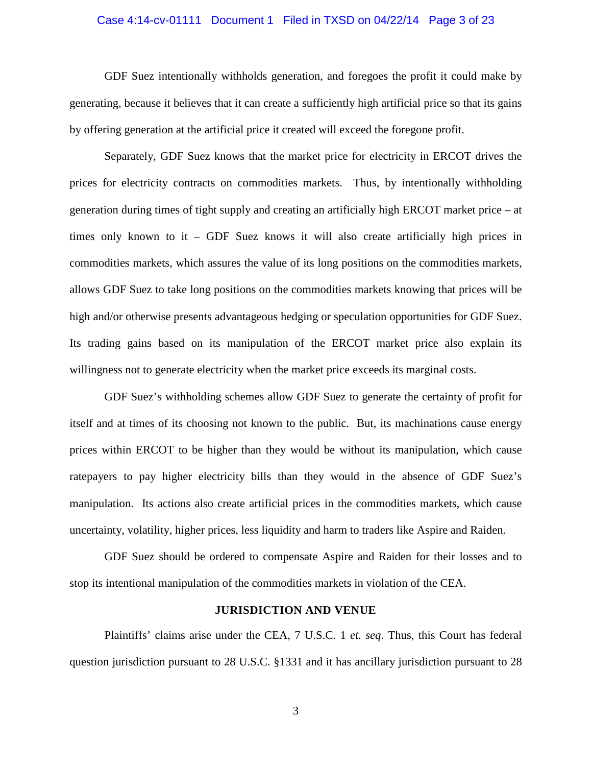### Case 4:14-cv-01111 Document 1 Filed in TXSD on 04/22/14 Page 3 of 23

GDF Suez intentionally withholds generation, and foregoes the profit it could make by generating, because it believes that it can create a sufficiently high artificial price so that its gains by offering generation at the artificial price it created will exceed the foregone profit.

Separately, GDF Suez knows that the market price for electricity in ERCOT drives the prices for electricity contracts on commodities markets. Thus, by intentionally withholding generation during times of tight supply and creating an artificially high ERCOT market price – at times only known to it – GDF Suez knows it will also create artificially high prices in commodities markets, which assures the value of its long positions on the commodities markets, allows GDF Suez to take long positions on the commodities markets knowing that prices will be high and/or otherwise presents advantageous hedging or speculation opportunities for GDF Suez. Its trading gains based on its manipulation of the ERCOT market price also explain its willingness not to generate electricity when the market price exceeds its marginal costs.

GDF Suez's withholding schemes allow GDF Suez to generate the certainty of profit for itself and at times of its choosing not known to the public. But, its machinations cause energy prices within ERCOT to be higher than they would be without its manipulation, which cause ratepayers to pay higher electricity bills than they would in the absence of GDF Suez's manipulation. Its actions also create artificial prices in the commodities markets, which cause uncertainty, volatility, higher prices, less liquidity and harm to traders like Aspire and Raiden.

GDF Suez should be ordered to compensate Aspire and Raiden for their losses and to stop its intentional manipulation of the commodities markets in violation of the CEA.

#### **JURISDICTION AND VENUE**

Plaintiffs' claims arise under the CEA, 7 U.S.C. 1 *et. seq*. Thus, this Court has federal question jurisdiction pursuant to 28 U.S.C. §1331 and it has ancillary jurisdiction pursuant to 28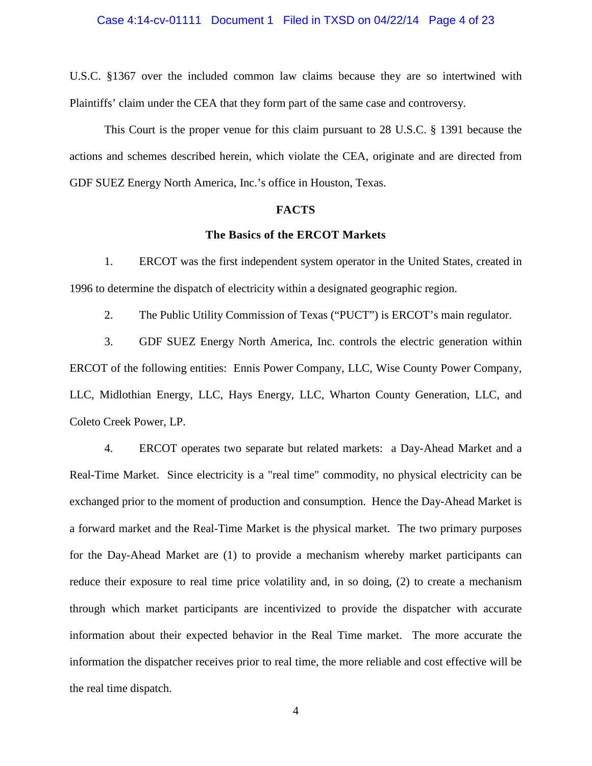### Case 4:14-cv-01111 Document 1 Filed in TXSD on 04/22/14 Page 4 of 23

U.S.C. §1367 over the included common law claims because they are so intertwined with Plaintiffs' claim under the CEA that they form part of the same case and controversy.

This Court is the proper venue for this claim pursuant to 28 U.S.C. § 1391 because the actions and schemes described herein, which violate the CEA, originate and are directed from GDF SUEZ Energy North America, Inc.'s office in Houston, Texas.

#### **FACTS**

## **The Basics of the ERCOT Markets**

1. ERCOT was the first independent system operator in the United States, created in 1996 to determine the dispatch of electricity within a designated geographic region.

2. The Public Utility Commission of Texas ("PUCT") is ERCOT's main regulator.

3. GDF SUEZ Energy North America, Inc. controls the electric generation within ERCOT of the following entities: Ennis Power Company, LLC, Wise County Power Company, LLC, Midlothian Energy, LLC, Hays Energy, LLC, Wharton County Generation, LLC, and Coleto Creek Power, LP.

4. ERCOT operates two separate but related markets: a Day-Ahead Market and a Real-Time Market. Since electricity is a "real time" commodity, no physical electricity can be exchanged prior to the moment of production and consumption. Hence the Day-Ahead Market is a forward market and the Real-Time Market is the physical market. The two primary purposes for the Day-Ahead Market are (1) to provide a mechanism whereby market participants can reduce their exposure to real time price volatility and, in so doing, (2) to create a mechanism through which market participants are incentivized to provide the dispatcher with accurate information about their expected behavior in the Real Time market. The more accurate the information the dispatcher receives prior to real time, the more reliable and cost effective will be the real time dispatch.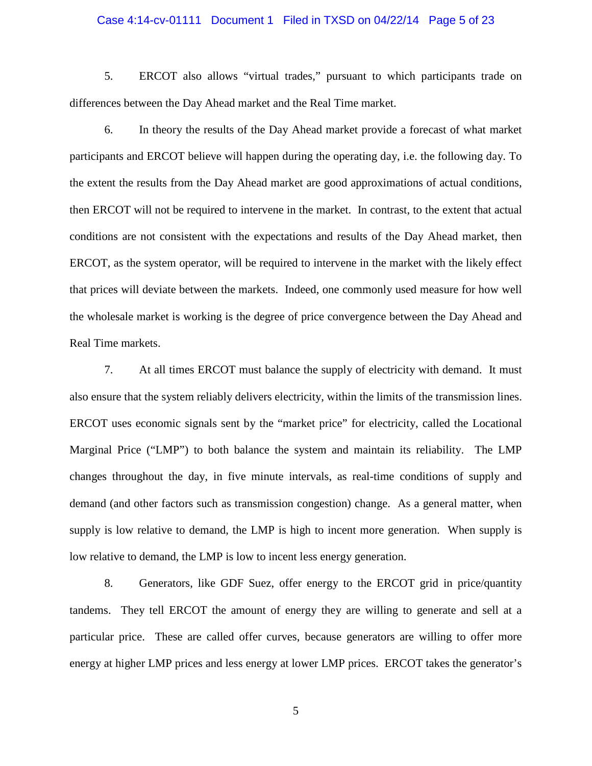### Case 4:14-cv-01111 Document 1 Filed in TXSD on 04/22/14 Page 5 of 23

5. ERCOT also allows "virtual trades," pursuant to which participants trade on differences between the Day Ahead market and the Real Time market.

6. In theory the results of the Day Ahead market provide a forecast of what market participants and ERCOT believe will happen during the operating day, i.e. the following day. To the extent the results from the Day Ahead market are good approximations of actual conditions, then ERCOT will not be required to intervene in the market. In contrast, to the extent that actual conditions are not consistent with the expectations and results of the Day Ahead market, then ERCOT, as the system operator, will be required to intervene in the market with the likely effect that prices will deviate between the markets. Indeed, one commonly used measure for how well the wholesale market is working is the degree of price convergence between the Day Ahead and Real Time markets.

7. At all times ERCOT must balance the supply of electricity with demand. It must also ensure that the system reliably delivers electricity, within the limits of the transmission lines. ERCOT uses economic signals sent by the "market price" for electricity, called the Locational Marginal Price ("LMP") to both balance the system and maintain its reliability. The LMP changes throughout the day, in five minute intervals, as real-time conditions of supply and demand (and other factors such as transmission congestion) change. As a general matter, when supply is low relative to demand, the LMP is high to incent more generation. When supply is low relative to demand, the LMP is low to incent less energy generation.

8. Generators, like GDF Suez, offer energy to the ERCOT grid in price/quantity tandems. They tell ERCOT the amount of energy they are willing to generate and sell at a particular price. These are called offer curves, because generators are willing to offer more energy at higher LMP prices and less energy at lower LMP prices. ERCOT takes the generator's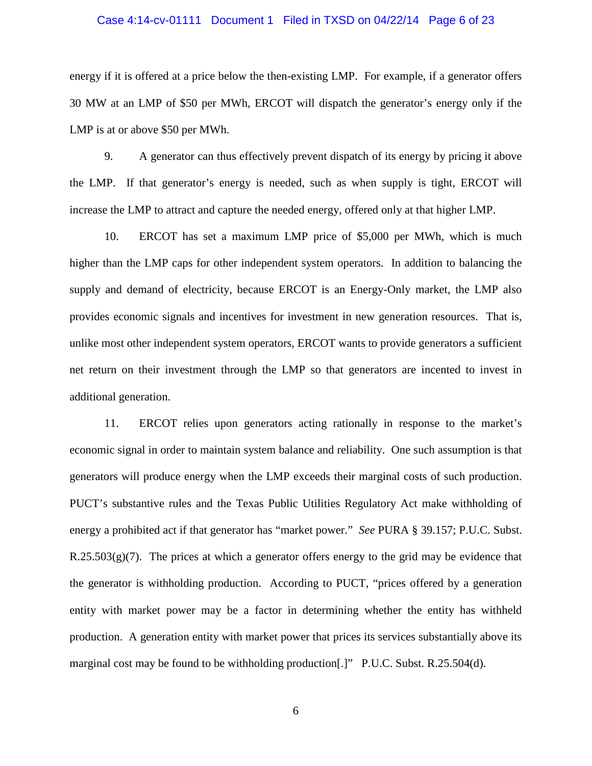### Case 4:14-cv-01111 Document 1 Filed in TXSD on 04/22/14 Page 6 of 23

energy if it is offered at a price below the then-existing LMP. For example, if a generator offers 30 MW at an LMP of \$50 per MWh, ERCOT will dispatch the generator's energy only if the LMP is at or above \$50 per MWh.

9. A generator can thus effectively prevent dispatch of its energy by pricing it above the LMP. If that generator's energy is needed, such as when supply is tight, ERCOT will increase the LMP to attract and capture the needed energy, offered only at that higher LMP.

10. ERCOT has set a maximum LMP price of \$5,000 per MWh, which is much higher than the LMP caps for other independent system operators. In addition to balancing the supply and demand of electricity, because ERCOT is an Energy-Only market, the LMP also provides economic signals and incentives for investment in new generation resources. That is, unlike most other independent system operators, ERCOT wants to provide generators a sufficient net return on their investment through the LMP so that generators are incented to invest in additional generation.

11. ERCOT relies upon generators acting rationally in response to the market's economic signal in order to maintain system balance and reliability. One such assumption is that generators will produce energy when the LMP exceeds their marginal costs of such production. PUCT's substantive rules and the Texas Public Utilities Regulatory Act make withholding of energy a prohibited act if that generator has "market power." *See* PURA § 39.157; P.U.C. Subst.  $R.25.503(g)(7)$ . The prices at which a generator offers energy to the grid may be evidence that the generator is withholding production. According to PUCT, "prices offered by a generation entity with market power may be a factor in determining whether the entity has withheld production. A generation entity with market power that prices its services substantially above its marginal cost may be found to be withholding production[.]" P.U.C. Subst. R.25.504(d).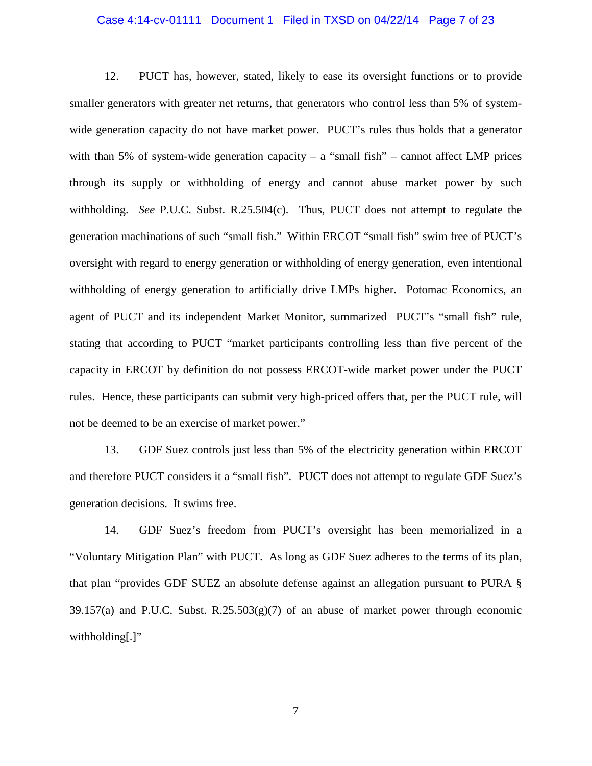#### Case 4:14-cv-01111 Document 1 Filed in TXSD on 04/22/14 Page 7 of 23

12. PUCT has, however, stated, likely to ease its oversight functions or to provide smaller generators with greater net returns, that generators who control less than 5% of systemwide generation capacity do not have market power. PUCT's rules thus holds that a generator with than 5% of system-wide generation capacity – a "small fish" – cannot affect LMP prices through its supply or withholding of energy and cannot abuse market power by such withholding. *See* P.U.C. Subst. R.25.504(c). Thus, PUCT does not attempt to regulate the generation machinations of such "small fish." Within ERCOT "small fish" swim free of PUCT's oversight with regard to energy generation or withholding of energy generation, even intentional withholding of energy generation to artificially drive LMPs higher. Potomac Economics, an agent of PUCT and its independent Market Monitor, summarized PUCT's "small fish" rule, stating that according to PUCT "market participants controlling less than five percent of the capacity in ERCOT by definition do not possess ERCOT-wide market power under the PUCT rules. Hence, these participants can submit very high-priced offers that, per the PUCT rule, will not be deemed to be an exercise of market power."

13. GDF Suez controls just less than 5% of the electricity generation within ERCOT and therefore PUCT considers it a "small fish". PUCT does not attempt to regulate GDF Suez's generation decisions. It swims free.

14. GDF Suez's freedom from PUCT's oversight has been memorialized in a "Voluntary Mitigation Plan" with PUCT. As long as GDF Suez adheres to the terms of its plan, that plan "provides GDF SUEZ an absolute defense against an allegation pursuant to PURA §  $39.157(a)$  and P.U.C. Subst. R.25.503(g)(7) of an abuse of market power through economic withholding[.]"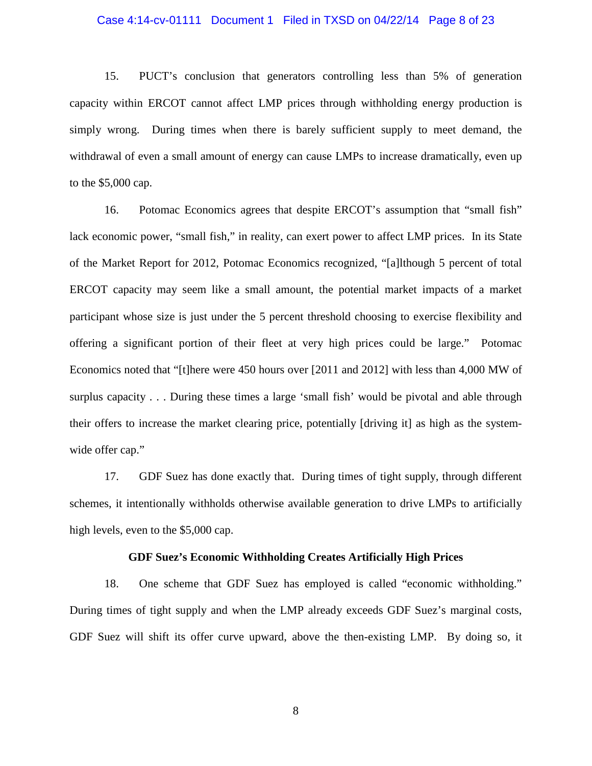#### Case 4:14-cv-01111 Document 1 Filed in TXSD on 04/22/14 Page 8 of 23

15. PUCT's conclusion that generators controlling less than 5% of generation capacity within ERCOT cannot affect LMP prices through withholding energy production is simply wrong. During times when there is barely sufficient supply to meet demand, the withdrawal of even a small amount of energy can cause LMPs to increase dramatically, even up to the \$5,000 cap.

16. Potomac Economics agrees that despite ERCOT's assumption that "small fish" lack economic power, "small fish," in reality, can exert power to affect LMP prices. In its State of the Market Report for 2012, Potomac Economics recognized, "[a]lthough 5 percent of total ERCOT capacity may seem like a small amount, the potential market impacts of a market participant whose size is just under the 5 percent threshold choosing to exercise flexibility and offering a significant portion of their fleet at very high prices could be large." Potomac Economics noted that "[t]here were 450 hours over [2011 and 2012] with less than 4,000 MW of surplus capacity . . . During these times a large 'small fish' would be pivotal and able through their offers to increase the market clearing price, potentially [driving it] as high as the systemwide offer cap."

17. GDF Suez has done exactly that. During times of tight supply, through different schemes, it intentionally withholds otherwise available generation to drive LMPs to artificially high levels, even to the \$5,000 cap.

### **GDF Suez's Economic Withholding Creates Artificially High Prices**

18. One scheme that GDF Suez has employed is called "economic withholding." During times of tight supply and when the LMP already exceeds GDF Suez's marginal costs, GDF Suez will shift its offer curve upward, above the then-existing LMP. By doing so, it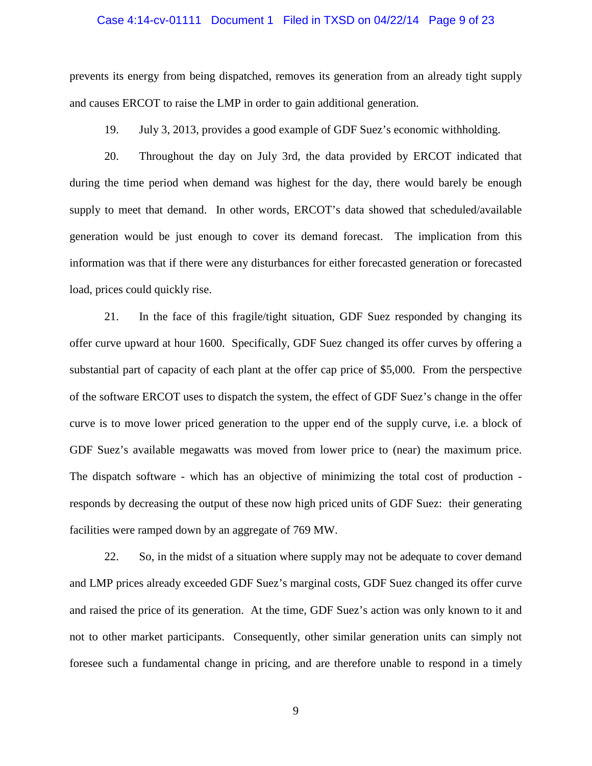#### Case 4:14-cv-01111 Document 1 Filed in TXSD on 04/22/14 Page 9 of 23

prevents its energy from being dispatched, removes its generation from an already tight supply and causes ERCOT to raise the LMP in order to gain additional generation.

19. July 3, 2013, provides a good example of GDF Suez's economic withholding.

20. Throughout the day on July 3rd, the data provided by ERCOT indicated that during the time period when demand was highest for the day, there would barely be enough supply to meet that demand. In other words, ERCOT's data showed that scheduled/available generation would be just enough to cover its demand forecast. The implication from this information was that if there were any disturbances for either forecasted generation or forecasted load, prices could quickly rise.

21. In the face of this fragile/tight situation, GDF Suez responded by changing its offer curve upward at hour 1600. Specifically, GDF Suez changed its offer curves by offering a substantial part of capacity of each plant at the offer cap price of \$5,000. From the perspective of the software ERCOT uses to dispatch the system, the effect of GDF Suez's change in the offer curve is to move lower priced generation to the upper end of the supply curve, i.e. a block of GDF Suez's available megawatts was moved from lower price to (near) the maximum price. The dispatch software - which has an objective of minimizing the total cost of production responds by decreasing the output of these now high priced units of GDF Suez: their generating facilities were ramped down by an aggregate of 769 MW.

22. So, in the midst of a situation where supply may not be adequate to cover demand and LMP prices already exceeded GDF Suez's marginal costs, GDF Suez changed its offer curve and raised the price of its generation. At the time, GDF Suez's action was only known to it and not to other market participants. Consequently, other similar generation units can simply not foresee such a fundamental change in pricing, and are therefore unable to respond in a timely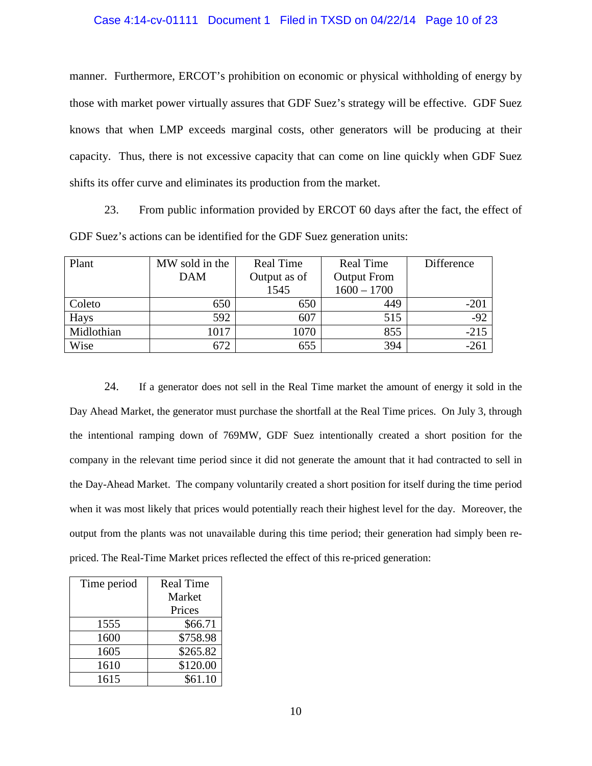## Case 4:14-cv-01111 Document 1 Filed in TXSD on 04/22/14 Page 10 of 23

manner. Furthermore, ERCOT's prohibition on economic or physical withholding of energy by those with market power virtually assures that GDF Suez's strategy will be effective. GDF Suez knows that when LMP exceeds marginal costs, other generators will be producing at their capacity. Thus, there is not excessive capacity that can come on line quickly when GDF Suez shifts its offer curve and eliminates its production from the market.

23. From public information provided by ERCOT 60 days after the fact, the effect of GDF Suez's actions can be identified for the GDF Suez generation units:

| Plant      | MW sold in the | Real Time    | <b>Real Time</b>   | Difference |
|------------|----------------|--------------|--------------------|------------|
|            | <b>DAM</b>     | Output as of | <b>Output From</b> |            |
|            |                | 1545         | $1600 - 1700$      |            |
| Coleto     | 650            | 650          | 449                | $-201$     |
| Hays       | 592            | 607          | 515                | $-92$      |
| Midlothian | 1017           | 1070         | 855                | $-215$     |
| Wise       | 672            | 655          | 394                | $-261$     |

24. If a generator does not sell in the Real Time market the amount of energy it sold in the Day Ahead Market, the generator must purchase the shortfall at the Real Time prices. On July 3, through the intentional ramping down of 769MW, GDF Suez intentionally created a short position for the company in the relevant time period since it did not generate the amount that it had contracted to sell in the Day-Ahead Market. The company voluntarily created a short position for itself during the time period when it was most likely that prices would potentially reach their highest level for the day. Moreover, the output from the plants was not unavailable during this time period; their generation had simply been repriced. The Real-Time Market prices reflected the effect of this re-priced generation:

| Time period | <b>Real Time</b> |
|-------------|------------------|
|             | Market           |
|             | Prices           |
| 1555        | \$66.71          |
| 1600        | \$758.98         |
| 1605        | \$265.82         |
| 1610        | \$120.00         |
| 1615        | \$61.10          |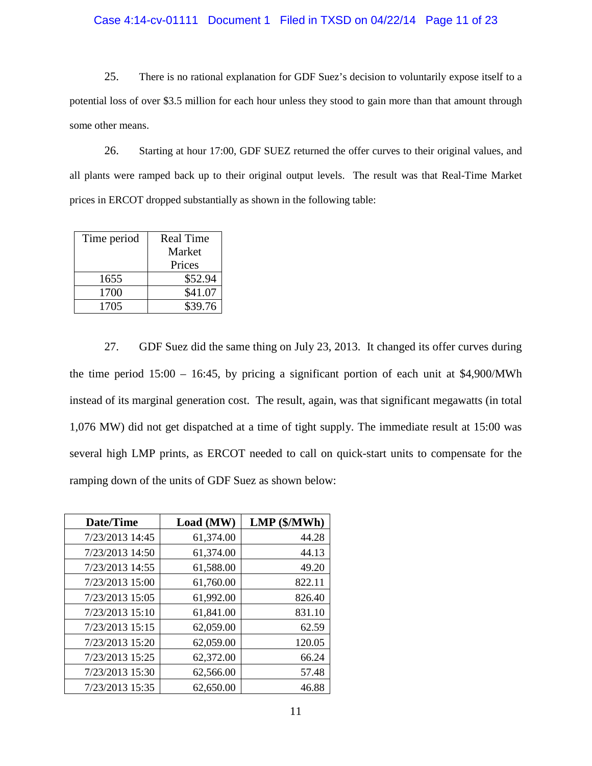### Case 4:14-cv-01111 Document 1 Filed in TXSD on 04/22/14 Page 11 of 23

25. There is no rational explanation for GDF Suez's decision to voluntarily expose itself to a potential loss of over \$3.5 million for each hour unless they stood to gain more than that amount through some other means.

26. Starting at hour 17:00, GDF SUEZ returned the offer curves to their original values, and all plants were ramped back up to their original output levels. The result was that Real-Time Market prices in ERCOT dropped substantially as shown in the following table:

| Time period | <b>Real Time</b> |
|-------------|------------------|
|             | Market           |
|             | Prices           |
| 1655        | \$52.94          |
| 1700        | \$41.07          |
| 1705        | \$39.76          |

27. GDF Suez did the same thing on July 23, 2013. It changed its offer curves during the time period  $15:00 - 16:45$ , by pricing a significant portion of each unit at \$4,900/MWh instead of its marginal generation cost. The result, again, was that significant megawatts (in total 1,076 MW) did not get dispatched at a time of tight supply. The immediate result at 15:00 was several high LMP prints, as ERCOT needed to call on quick-start units to compensate for the ramping down of the units of GDF Suez as shown below:

| Date/Time       | Load (MW) | $LMP$ ( $MWh$ ) |
|-----------------|-----------|-----------------|
| 7/23/2013 14:45 | 61,374.00 | 44.28           |
| 7/23/2013 14:50 | 61,374.00 | 44.13           |
| 7/23/2013 14:55 | 61,588.00 | 49.20           |
| 7/23/2013 15:00 | 61,760.00 | 822.11          |
| 7/23/2013 15:05 | 61,992.00 | 826.40          |
| 7/23/2013 15:10 | 61,841.00 | 831.10          |
| 7/23/2013 15:15 | 62,059.00 | 62.59           |
| 7/23/2013 15:20 | 62,059.00 | 120.05          |
| 7/23/2013 15:25 | 62,372.00 | 66.24           |
| 7/23/2013 15:30 | 62,566.00 | 57.48           |
| 7/23/2013 15:35 | 62,650.00 | 46.88           |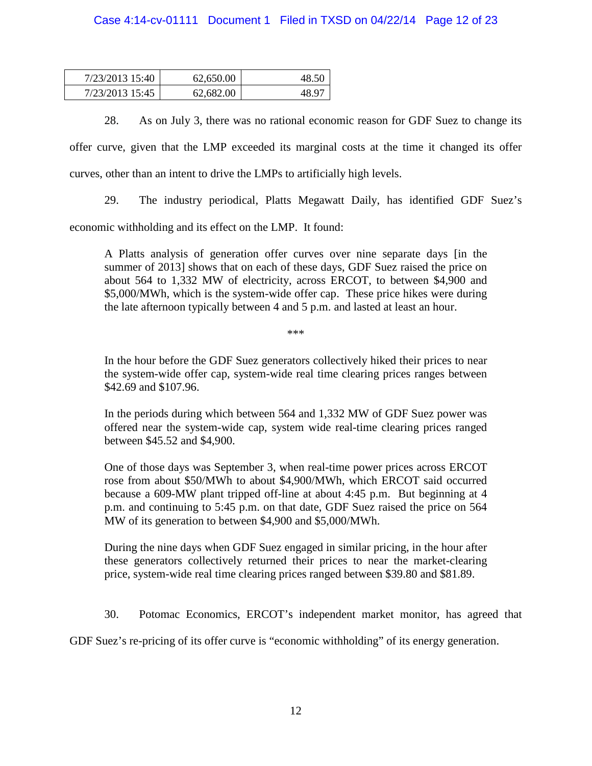# Case 4:14-cv-01111 Document 1 Filed in TXSD on 04/22/14 Page 12 of 23

| 7/23/2013 15:40 | 62,650.00 |       |
|-----------------|-----------|-------|
| 7/23/2013 15:45 | 62.682.00 | 48.97 |

28. As on July 3, there was no rational economic reason for GDF Suez to change its offer curve, given that the LMP exceeded its marginal costs at the time it changed its offer curves, other than an intent to drive the LMPs to artificially high levels.

29. The industry periodical, Platts Megawatt Daily, has identified GDF Suez's

economic withholding and its effect on the LMP. It found:

A Platts analysis of generation offer curves over nine separate days [in the summer of 2013] shows that on each of these days, GDF Suez raised the price on about 564 to 1,332 MW of electricity, across ERCOT, to between \$4,900 and \$5,000/MWh, which is the system-wide offer cap. These price hikes were during the late afternoon typically between 4 and 5 p.m. and lasted at least an hour.

\*\*\*

In the hour before the GDF Suez generators collectively hiked their prices to near the system-wide offer cap, system-wide real time clearing prices ranges between \$42.69 and \$107.96.

In the periods during which between 564 and 1,332 MW of GDF Suez power was offered near the system-wide cap, system wide real-time clearing prices ranged between \$45.52 and \$4,900.

One of those days was September 3, when real-time power prices across ERCOT rose from about \$50/MWh to about \$4,900/MWh, which ERCOT said occurred because a 609-MW plant tripped off-line at about 4:45 p.m. But beginning at 4 p.m. and continuing to 5:45 p.m. on that date, GDF Suez raised the price on 564 MW of its generation to between \$4,900 and \$5,000/MWh.

During the nine days when GDF Suez engaged in similar pricing, in the hour after these generators collectively returned their prices to near the market-clearing price, system-wide real time clearing prices ranged between \$39.80 and \$81.89.

30. Potomac Economics, ERCOT's independent market monitor, has agreed that

GDF Suez's re-pricing of its offer curve is "economic withholding" of its energy generation.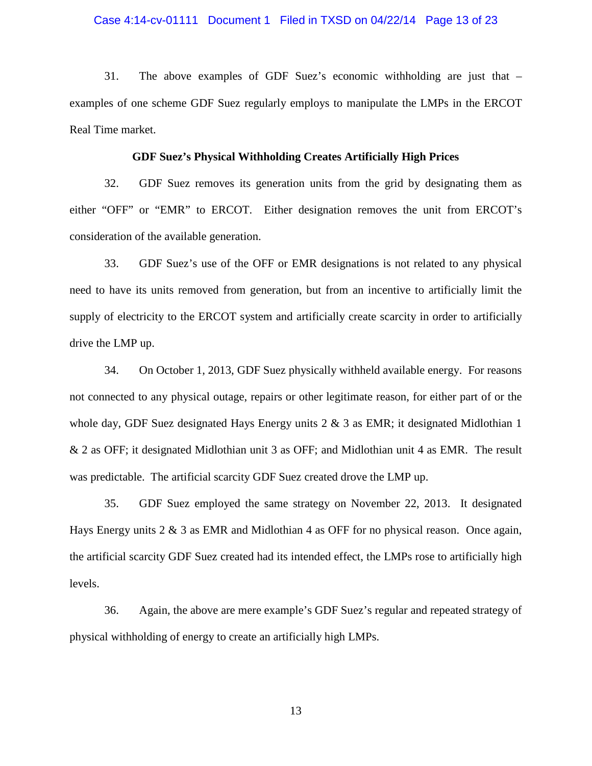#### Case 4:14-cv-01111 Document 1 Filed in TXSD on 04/22/14 Page 13 of 23

31. The above examples of GDF Suez's economic withholding are just that – examples of one scheme GDF Suez regularly employs to manipulate the LMPs in the ERCOT Real Time market.

### **GDF Suez's Physical Withholding Creates Artificially High Prices**

32. GDF Suez removes its generation units from the grid by designating them as either "OFF" or "EMR" to ERCOT. Either designation removes the unit from ERCOT's consideration of the available generation.

33. GDF Suez's use of the OFF or EMR designations is not related to any physical need to have its units removed from generation, but from an incentive to artificially limit the supply of electricity to the ERCOT system and artificially create scarcity in order to artificially drive the LMP up.

34. On October 1, 2013, GDF Suez physically withheld available energy. For reasons not connected to any physical outage, repairs or other legitimate reason, for either part of or the whole day, GDF Suez designated Hays Energy units  $2 \& 3$  as EMR; it designated Midlothian 1 & 2 as OFF; it designated Midlothian unit 3 as OFF; and Midlothian unit 4 as EMR. The result was predictable. The artificial scarcity GDF Suez created drove the LMP up.

35. GDF Suez employed the same strategy on November 22, 2013. It designated Hays Energy units 2 & 3 as EMR and Midlothian 4 as OFF for no physical reason. Once again, the artificial scarcity GDF Suez created had its intended effect, the LMPs rose to artificially high levels.

36. Again, the above are mere example's GDF Suez's regular and repeated strategy of physical withholding of energy to create an artificially high LMPs.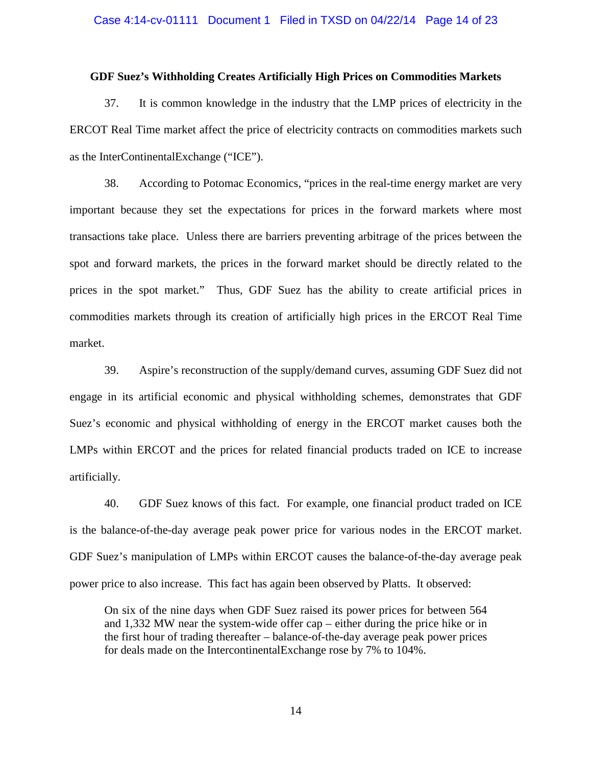### Case 4:14-cv-01111 Document 1 Filed in TXSD on 04/22/14 Page 14 of 23

### **GDF Suez's Withholding Creates Artificially High Prices on Commodities Markets**

37. It is common knowledge in the industry that the LMP prices of electricity in the ERCOT Real Time market affect the price of electricity contracts on commodities markets such as the InterContinentalExchange ("ICE").

38. According to Potomac Economics, "prices in the real-time energy market are very important because they set the expectations for prices in the forward markets where most transactions take place. Unless there are barriers preventing arbitrage of the prices between the spot and forward markets, the prices in the forward market should be directly related to the prices in the spot market." Thus, GDF Suez has the ability to create artificial prices in commodities markets through its creation of artificially high prices in the ERCOT Real Time market.

39. Aspire's reconstruction of the supply/demand curves, assuming GDF Suez did not engage in its artificial economic and physical withholding schemes, demonstrates that GDF Suez's economic and physical withholding of energy in the ERCOT market causes both the LMPs within ERCOT and the prices for related financial products traded on ICE to increase artificially.

40. GDF Suez knows of this fact. For example, one financial product traded on ICE is the balance-of-the-day average peak power price for various nodes in the ERCOT market. GDF Suez's manipulation of LMPs within ERCOT causes the balance-of-the-day average peak power price to also increase. This fact has again been observed by Platts. It observed:

On six of the nine days when GDF Suez raised its power prices for between 564 and 1,332 MW near the system-wide offer cap – either during the price hike or in the first hour of trading thereafter – balance-of-the-day average peak power prices for deals made on the IntercontinentalExchange rose by 7% to 104%.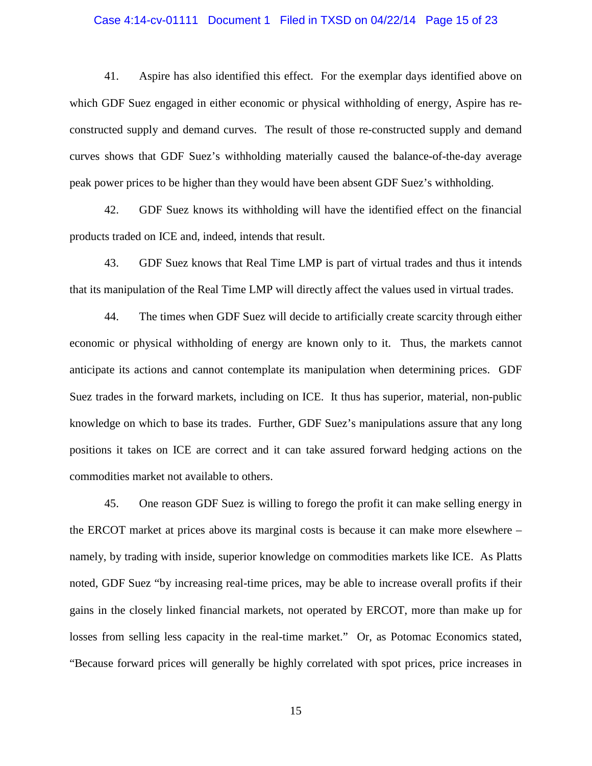### Case 4:14-cv-01111 Document 1 Filed in TXSD on 04/22/14 Page 15 of 23

41. Aspire has also identified this effect. For the exemplar days identified above on which GDF Suez engaged in either economic or physical withholding of energy, Aspire has reconstructed supply and demand curves. The result of those re-constructed supply and demand curves shows that GDF Suez's withholding materially caused the balance-of-the-day average peak power prices to be higher than they would have been absent GDF Suez's withholding.

42. GDF Suez knows its withholding will have the identified effect on the financial products traded on ICE and, indeed, intends that result.

43. GDF Suez knows that Real Time LMP is part of virtual trades and thus it intends that its manipulation of the Real Time LMP will directly affect the values used in virtual trades.

44. The times when GDF Suez will decide to artificially create scarcity through either economic or physical withholding of energy are known only to it. Thus, the markets cannot anticipate its actions and cannot contemplate its manipulation when determining prices. GDF Suez trades in the forward markets, including on ICE. It thus has superior, material, non-public knowledge on which to base its trades. Further, GDF Suez's manipulations assure that any long positions it takes on ICE are correct and it can take assured forward hedging actions on the commodities market not available to others.

45. One reason GDF Suez is willing to forego the profit it can make selling energy in the ERCOT market at prices above its marginal costs is because it can make more elsewhere – namely, by trading with inside, superior knowledge on commodities markets like ICE. As Platts noted, GDF Suez "by increasing real-time prices, may be able to increase overall profits if their gains in the closely linked financial markets, not operated by ERCOT, more than make up for losses from selling less capacity in the real-time market." Or, as Potomac Economics stated, "Because forward prices will generally be highly correlated with spot prices, price increases in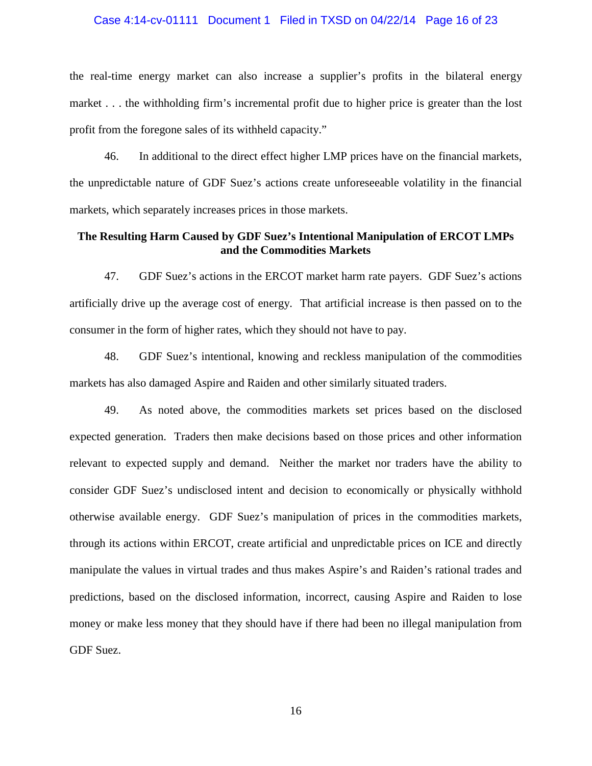### Case 4:14-cv-01111 Document 1 Filed in TXSD on 04/22/14 Page 16 of 23

the real-time energy market can also increase a supplier's profits in the bilateral energy market . . . the withholding firm's incremental profit due to higher price is greater than the lost profit from the foregone sales of its withheld capacity."

46. In additional to the direct effect higher LMP prices have on the financial markets, the unpredictable nature of GDF Suez's actions create unforeseeable volatility in the financial markets, which separately increases prices in those markets.

## **The Resulting Harm Caused by GDF Suez's Intentional Manipulation of ERCOT LMPs and the Commodities Markets**

47. GDF Suez's actions in the ERCOT market harm rate payers. GDF Suez's actions artificially drive up the average cost of energy. That artificial increase is then passed on to the consumer in the form of higher rates, which they should not have to pay.

48. GDF Suez's intentional, knowing and reckless manipulation of the commodities markets has also damaged Aspire and Raiden and other similarly situated traders.

49. As noted above, the commodities markets set prices based on the disclosed expected generation. Traders then make decisions based on those prices and other information relevant to expected supply and demand. Neither the market nor traders have the ability to consider GDF Suez's undisclosed intent and decision to economically or physically withhold otherwise available energy. GDF Suez's manipulation of prices in the commodities markets, through its actions within ERCOT, create artificial and unpredictable prices on ICE and directly manipulate the values in virtual trades and thus makes Aspire's and Raiden's rational trades and predictions, based on the disclosed information, incorrect, causing Aspire and Raiden to lose money or make less money that they should have if there had been no illegal manipulation from GDF Suez.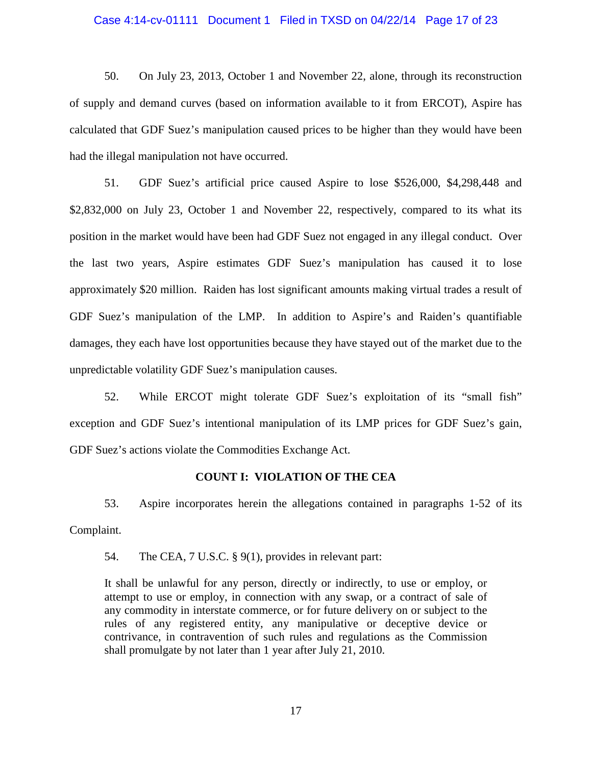### Case 4:14-cv-01111 Document 1 Filed in TXSD on 04/22/14 Page 17 of 23

50. On July 23, 2013, October 1 and November 22, alone, through its reconstruction of supply and demand curves (based on information available to it from ERCOT), Aspire has calculated that GDF Suez's manipulation caused prices to be higher than they would have been had the illegal manipulation not have occurred.

51. GDF Suez's artificial price caused Aspire to lose \$526,000, \$4,298,448 and \$2,832,000 on July 23, October 1 and November 22, respectively, compared to its what its position in the market would have been had GDF Suez not engaged in any illegal conduct. Over the last two years, Aspire estimates GDF Suez's manipulation has caused it to lose approximately \$20 million. Raiden has lost significant amounts making virtual trades a result of GDF Suez's manipulation of the LMP. In addition to Aspire's and Raiden's quantifiable damages, they each have lost opportunities because they have stayed out of the market due to the unpredictable volatility GDF Suez's manipulation causes.

52. While ERCOT might tolerate GDF Suez's exploitation of its "small fish" exception and GDF Suez's intentional manipulation of its LMP prices for GDF Suez's gain, GDF Suez's actions violate the Commodities Exchange Act.

### **COUNT I: VIOLATION OF THE CEA**

53. Aspire incorporates herein the allegations contained in paragraphs 1-52 of its Complaint.

54. The CEA, 7 U.S.C. § 9(1), provides in relevant part:

It shall be unlawful for any person, directly or indirectly, to use or employ, or attempt to use or employ, in connection with any swap, or a contract of sale of any commodity in interstate commerce, or for future delivery on or subject to the rules of any registered entity, any manipulative or deceptive device or contrivance, in contravention of such rules and regulations as the Commission shall promulgate by not later than 1 year after July 21, 2010.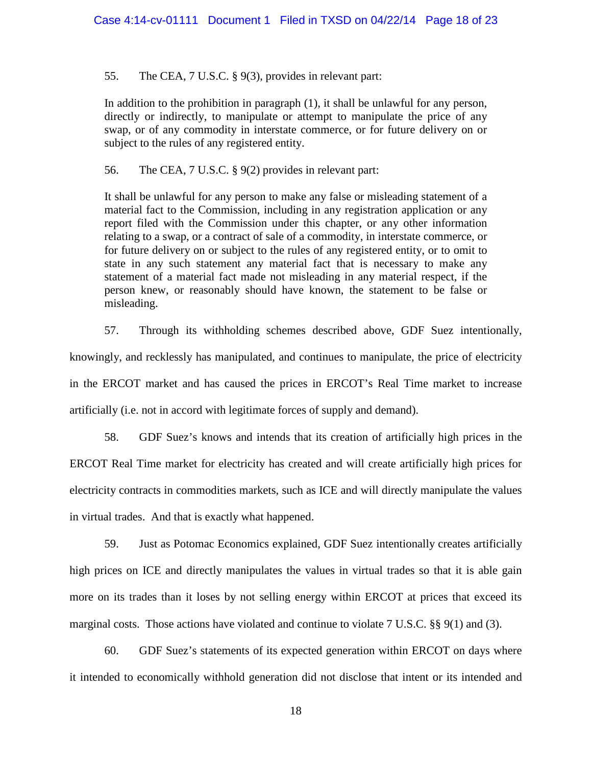55. The CEA, 7 U.S.C. § 9(3), provides in relevant part:

In addition to the prohibition in paragraph (1), it shall be unlawful for any person, directly or indirectly, to manipulate or attempt to manipulate the price of any swap, or of any commodity in interstate commerce, or for future delivery on or subject to the rules of any registered entity.

56. The CEA, 7 U.S.C. § 9(2) provides in relevant part:

It shall be unlawful for any person to make any false or misleading statement of a material fact to the Commission, including in any registration application or any report filed with the Commission under this chapter, or any other information relating to a swap, or a contract of sale of a commodity, in interstate commerce, or for future delivery on or subject to the rules of any registered entity, or to omit to state in any such statement any material fact that is necessary to make any statement of a material fact made not misleading in any material respect, if the person knew, or reasonably should have known, the statement to be false or misleading.

57. Through its withholding schemes described above, GDF Suez intentionally, knowingly, and recklessly has manipulated, and continues to manipulate, the price of electricity in the ERCOT market and has caused the prices in ERCOT's Real Time market to increase artificially (i.e. not in accord with legitimate forces of supply and demand).

58. GDF Suez's knows and intends that its creation of artificially high prices in the ERCOT Real Time market for electricity has created and will create artificially high prices for electricity contracts in commodities markets, such as ICE and will directly manipulate the values in virtual trades. And that is exactly what happened.

59. Just as Potomac Economics explained, GDF Suez intentionally creates artificially high prices on ICE and directly manipulates the values in virtual trades so that it is able gain more on its trades than it loses by not selling energy within ERCOT at prices that exceed its marginal costs. Those actions have violated and continue to violate 7 U.S.C. §§ 9(1) and (3).

60. GDF Suez's statements of its expected generation within ERCOT on days where it intended to economically withhold generation did not disclose that intent or its intended and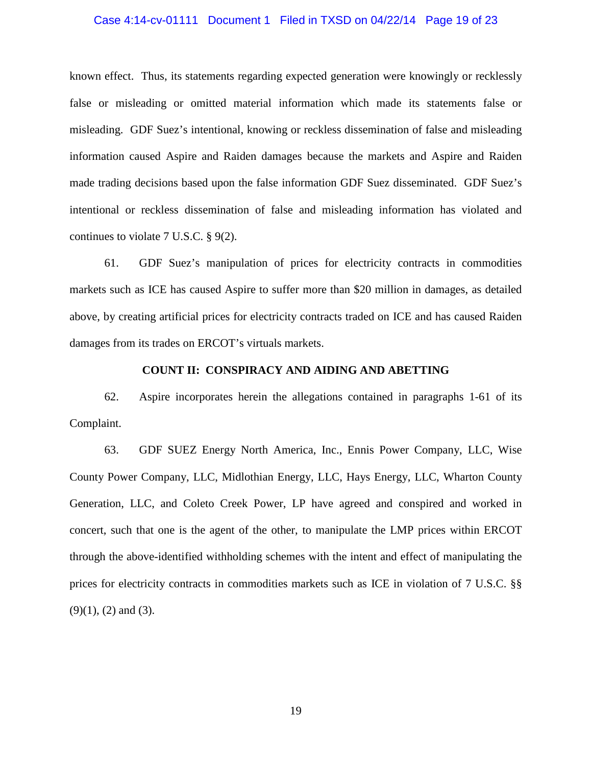### Case 4:14-cv-01111 Document 1 Filed in TXSD on 04/22/14 Page 19 of 23

known effect. Thus, its statements regarding expected generation were knowingly or recklessly false or misleading or omitted material information which made its statements false or misleading. GDF Suez's intentional, knowing or reckless dissemination of false and misleading information caused Aspire and Raiden damages because the markets and Aspire and Raiden made trading decisions based upon the false information GDF Suez disseminated. GDF Suez's intentional or reckless dissemination of false and misleading information has violated and continues to violate 7 U.S.C. § 9(2).

61. GDF Suez's manipulation of prices for electricity contracts in commodities markets such as ICE has caused Aspire to suffer more than \$20 million in damages, as detailed above, by creating artificial prices for electricity contracts traded on ICE and has caused Raiden damages from its trades on ERCOT's virtuals markets.

### **COUNT II: CONSPIRACY AND AIDING AND ABETTING**

62. Aspire incorporates herein the allegations contained in paragraphs 1-61 of its Complaint.

63. GDF SUEZ Energy North America, Inc., Ennis Power Company, LLC, Wise County Power Company, LLC, Midlothian Energy, LLC, Hays Energy, LLC, Wharton County Generation, LLC, and Coleto Creek Power, LP have agreed and conspired and worked in concert, such that one is the agent of the other, to manipulate the LMP prices within ERCOT through the above-identified withholding schemes with the intent and effect of manipulating the prices for electricity contracts in commodities markets such as ICE in violation of 7 U.S.C. §§  $(9)(1)$ ,  $(2)$  and  $(3)$ .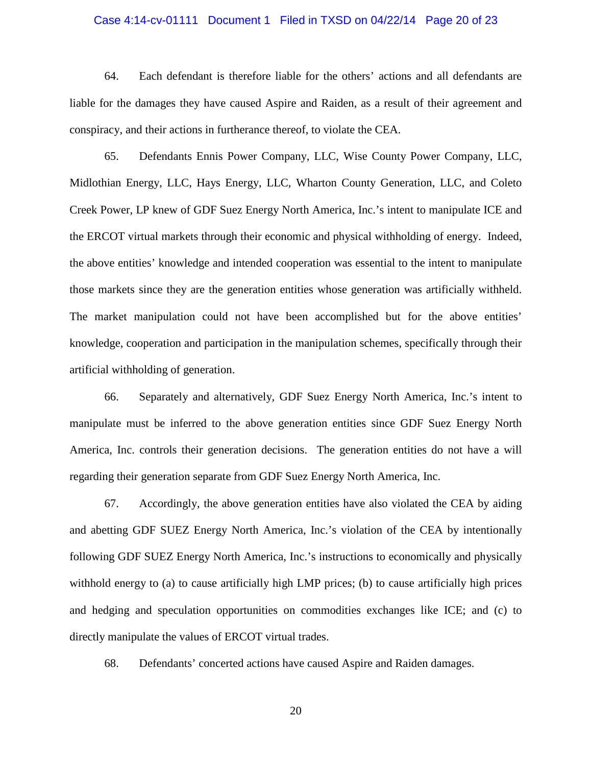### Case 4:14-cv-01111 Document 1 Filed in TXSD on 04/22/14 Page 20 of 23

64. Each defendant is therefore liable for the others' actions and all defendants are liable for the damages they have caused Aspire and Raiden, as a result of their agreement and conspiracy, and their actions in furtherance thereof, to violate the CEA.

65. Defendants Ennis Power Company, LLC, Wise County Power Company, LLC, Midlothian Energy, LLC, Hays Energy, LLC, Wharton County Generation, LLC, and Coleto Creek Power, LP knew of GDF Suez Energy North America, Inc.'s intent to manipulate ICE and the ERCOT virtual markets through their economic and physical withholding of energy. Indeed, the above entities' knowledge and intended cooperation was essential to the intent to manipulate those markets since they are the generation entities whose generation was artificially withheld. The market manipulation could not have been accomplished but for the above entities' knowledge, cooperation and participation in the manipulation schemes, specifically through their artificial withholding of generation.

66. Separately and alternatively, GDF Suez Energy North America, Inc.'s intent to manipulate must be inferred to the above generation entities since GDF Suez Energy North America, Inc. controls their generation decisions. The generation entities do not have a will regarding their generation separate from GDF Suez Energy North America, Inc.

67. Accordingly, the above generation entities have also violated the CEA by aiding and abetting GDF SUEZ Energy North America, Inc.'s violation of the CEA by intentionally following GDF SUEZ Energy North America, Inc.'s instructions to economically and physically withhold energy to (a) to cause artificially high LMP prices; (b) to cause artificially high prices and hedging and speculation opportunities on commodities exchanges like ICE; and (c) to directly manipulate the values of ERCOT virtual trades.

68. Defendants' concerted actions have caused Aspire and Raiden damages.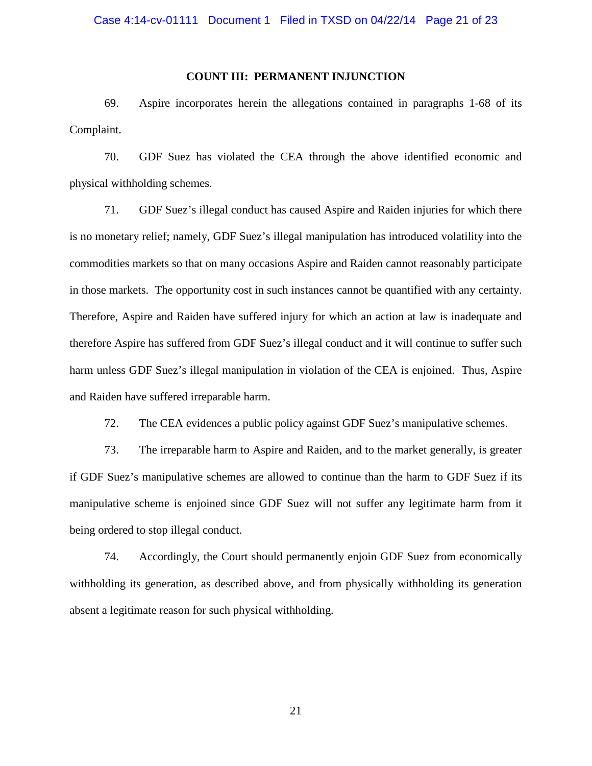### **COUNT III: PERMANENT INJUNCTION**

69. Aspire incorporates herein the allegations contained in paragraphs 1-68 of its Complaint.

70. GDF Suez has violated the CEA through the above identified economic and physical withholding schemes.

71. GDF Suez's illegal conduct has caused Aspire and Raiden injuries for which there is no monetary relief; namely, GDF Suez's illegal manipulation has introduced volatility into the commodities markets so that on many occasions Aspire and Raiden cannot reasonably participate in those markets. The opportunity cost in such instances cannot be quantified with any certainty. Therefore, Aspire and Raiden have suffered injury for which an action at law is inadequate and therefore Aspire has suffered from GDF Suez's illegal conduct and it will continue to suffer such harm unless GDF Suez's illegal manipulation in violation of the CEA is enjoined. Thus, Aspire and Raiden have suffered irreparable harm.

72. The CEA evidences a public policy against GDF Suez's manipulative schemes.

73. The irreparable harm to Aspire and Raiden, and to the market generally, is greater if GDF Suez's manipulative schemes are allowed to continue than the harm to GDF Suez if its manipulative scheme is enjoined since GDF Suez will not suffer any legitimate harm from it being ordered to stop illegal conduct.

74. Accordingly, the Court should permanently enjoin GDF Suez from economically withholding its generation, as described above, and from physically withholding its generation absent a legitimate reason for such physical withholding.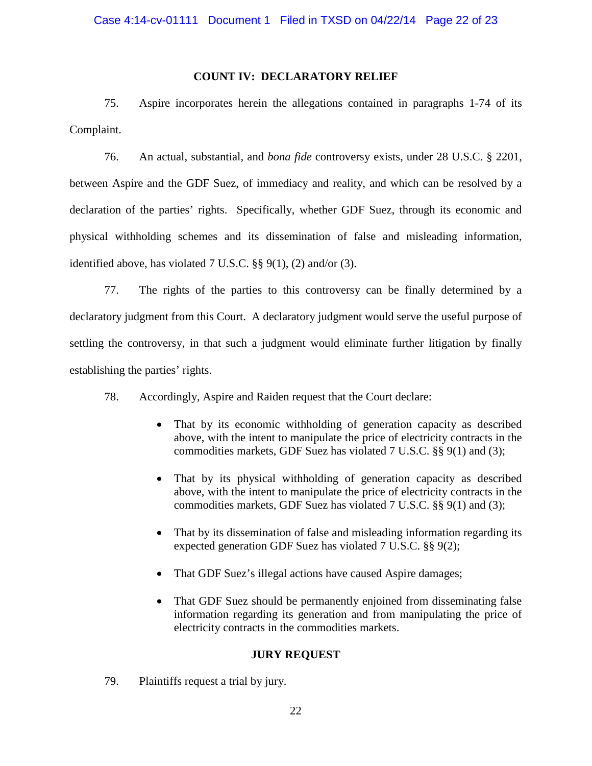### **COUNT IV: DECLARATORY RELIEF**

75. Aspire incorporates herein the allegations contained in paragraphs 1-74 of its Complaint.

76. An actual, substantial, and *bona fide* controversy exists, under 28 U.S.C. § 2201, between Aspire and the GDF Suez, of immediacy and reality, and which can be resolved by a declaration of the parties' rights. Specifically, whether GDF Suez, through its economic and physical withholding schemes and its dissemination of false and misleading information, identified above, has violated 7 U.S.C. §§ 9(1), (2) and/or (3).

77. The rights of the parties to this controversy can be finally determined by a declaratory judgment from this Court. A declaratory judgment would serve the useful purpose of settling the controversy, in that such a judgment would eliminate further litigation by finally establishing the parties' rights.

78. Accordingly, Aspire and Raiden request that the Court declare:

- That by its economic withholding of generation capacity as described above, with the intent to manipulate the price of electricity contracts in the commodities markets, GDF Suez has violated 7 U.S.C. §§ 9(1) and (3);
- That by its physical withholding of generation capacity as described above, with the intent to manipulate the price of electricity contracts in the commodities markets, GDF Suez has violated 7 U.S.C. §§ 9(1) and (3);
- That by its dissemination of false and misleading information regarding its expected generation GDF Suez has violated 7 U.S.C. §§ 9(2);
- That GDF Suez's illegal actions have caused Aspire damages;
- That GDF Suez should be permanently enjoined from disseminating false information regarding its generation and from manipulating the price of electricity contracts in the commodities markets.

## **JURY REQUEST**

79. Plaintiffs request a trial by jury.